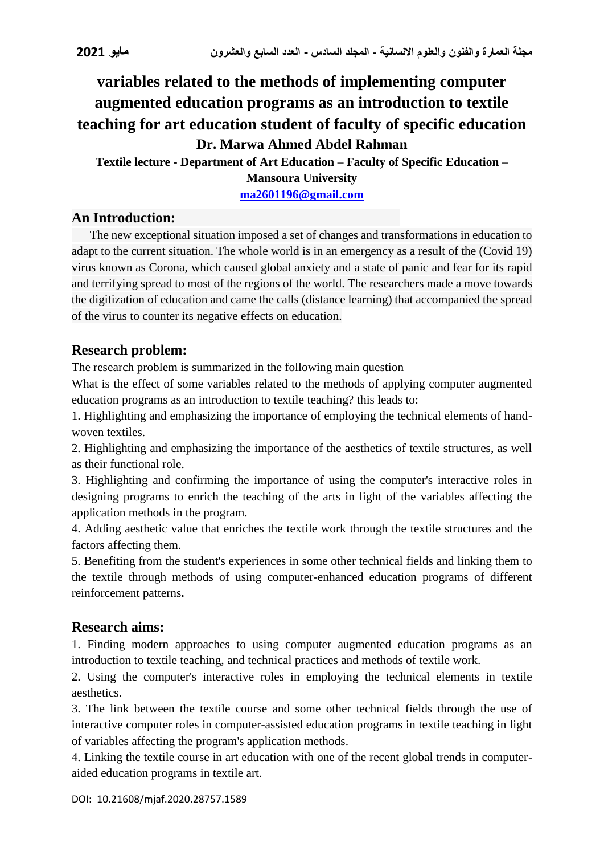# **variables related to the methods of implementing computer augmented education programs as an introduction to textile teaching for art education student of faculty of specific education Dr. Marwa Ahmed Abdel Rahman**

**Textile lecture - Department of Art Education – Faculty of Specific Education –** 

**Mansoura University [ma2601196@gmail.com](mailto:ma2601196@gmail.com)**

**An Introduction:**

 The new exceptional situation imposed a set of changes and transformations in education to adapt to the current situation. The whole world is in an emergency as a result of the (Covid 19) virus known as Corona, which caused global anxiety and a state of panic and fear for its rapid and terrifying spread to most of the regions of the world. The researchers made a move towards the digitization of education and came the calls (distance learning) that accompanied the spread of the virus to counter its negative effects on education.

# **Research problem:**

The research problem is summarized in the following main question

What is the effect of some variables related to the methods of applying computer augmented education programs as an introduction to textile teaching? this leads to:

1. Highlighting and emphasizing the importance of employing the technical elements of handwoven textiles.

2. Highlighting and emphasizing the importance of the aesthetics of textile structures, as well as their functional role.

3. Highlighting and confirming the importance of using the computer's interactive roles in designing programs to enrich the teaching of the arts in light of the variables affecting the application methods in the program.

4. Adding aesthetic value that enriches the textile work through the textile structures and the factors affecting them.

5. Benefiting from the student's experiences in some other technical fields and linking them to the textile through methods of using computer-enhanced education programs of different reinforcement patterns**.**

# **Research aims:**

1. Finding modern approaches to using computer augmented education programs as an introduction to textile teaching, and technical practices and methods of textile work.

2. Using the computer's interactive roles in employing the technical elements in textile aesthetics.

3. The link between the textile course and some other technical fields through the use of interactive computer roles in computer-assisted education programs in textile teaching in light of variables affecting the program's application methods.

4. Linking the textile course in art education with one of the recent global trends in computeraided education programs in textile art.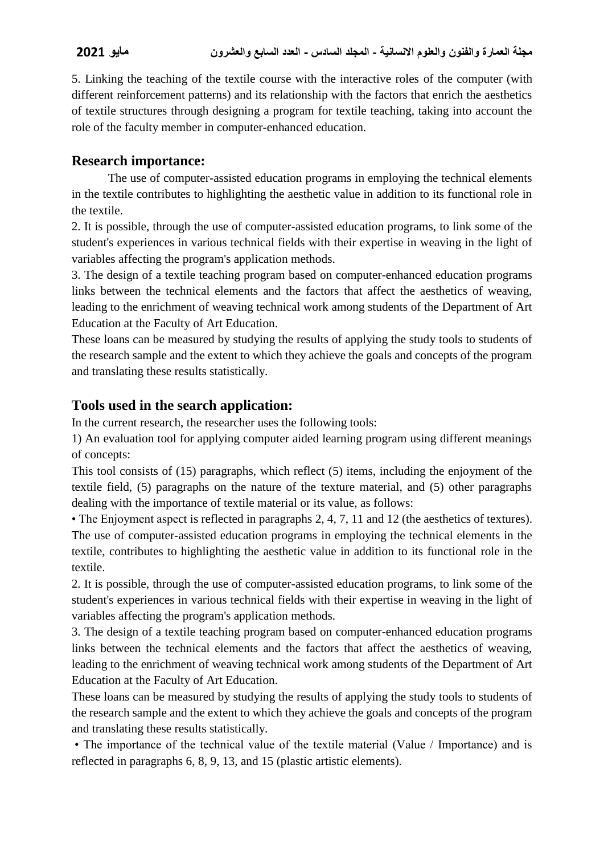5. Linking the teaching of the textile course with the interactive roles of the computer (with different reinforcement patterns) and its relationship with the factors that enrich the aesthetics of textile structures through designing a program for textile teaching, taking into account the role of the faculty member in computer-enhanced education.

### **Research importance:**

The use of computer-assisted education programs in employing the technical elements in the textile contributes to highlighting the aesthetic value in addition to its functional role in the textile.

2. It is possible, through the use of computer-assisted education programs, to link some of the student's experiences in various technical fields with their expertise in weaving in the light of variables affecting the program's application methods.

3. The design of a textile teaching program based on computer-enhanced education programs links between the technical elements and the factors that affect the aesthetics of weaving, leading to the enrichment of weaving technical work among students of the Department of Art Education at the Faculty of Art Education.

These loans can be measured by studying the results of applying the study tools to students of the research sample and the extent to which they achieve the goals and concepts of the program and translating these results statistically.

# **Tools used in the search application:**

In the current research, the researcher uses the following tools:

1) An evaluation tool for applying computer aided learning program using different meanings of concepts:

This tool consists of (15) paragraphs, which reflect (5) items, including the enjoyment of the textile field, (5) paragraphs on the nature of the texture material, and (5) other paragraphs dealing with the importance of textile material or its value, as follows:

• The Enjoyment aspect is reflected in paragraphs 2, 4, 7, 11 and 12 (the aesthetics of textures). The use of computer-assisted education programs in employing the technical elements in the textile, contributes to highlighting the aesthetic value in addition to its functional role in the textile.

2. It is possible, through the use of computer-assisted education programs, to link some of the student's experiences in various technical fields with their expertise in weaving in the light of variables affecting the program's application methods.

3. The design of a textile teaching program based on computer-enhanced education programs links between the technical elements and the factors that affect the aesthetics of weaving, leading to the enrichment of weaving technical work among students of the Department of Art Education at the Faculty of Art Education.

These loans can be measured by studying the results of applying the study tools to students of the research sample and the extent to which they achieve the goals and concepts of the program and translating these results statistically.

• The importance of the technical value of the textile material (Value / Importance) and is reflected in paragraphs 6, 8, 9, 13, and 15 (plastic artistic elements).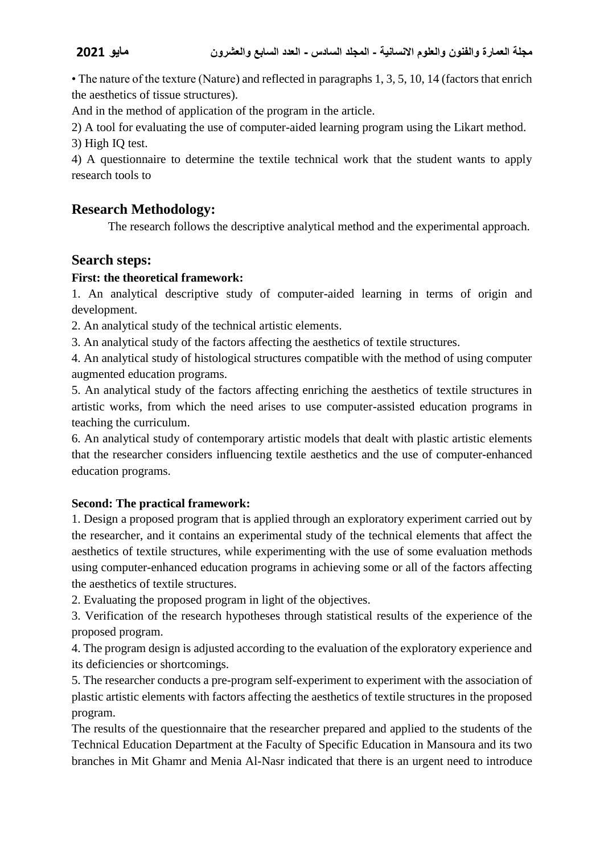#### **مجلة العمارة والفنون والعلوم االنسانية - المجلد السادس - العدد السابع والعشرون مايو 2021**

• The nature of the texture (Nature) and reflected in paragraphs 1, 3, 5, 10, 14 (factors that enrich the aesthetics of tissue structures).

And in the method of application of the program in the article.

2) A tool for evaluating the use of computer-aided learning program using the Likart method. 3) High IQ test.

4) A questionnaire to determine the textile technical work that the student wants to apply research tools to

## **Research Methodology:**

The research follows the descriptive analytical method and the experimental approach.

#### **Search steps:**

#### **First: the theoretical framework:**

1. An analytical descriptive study of computer-aided learning in terms of origin and development.

2. An analytical study of the technical artistic elements.

3. An analytical study of the factors affecting the aesthetics of textile structures.

4. An analytical study of histological structures compatible with the method of using computer augmented education programs.

5. An analytical study of the factors affecting enriching the aesthetics of textile structures in artistic works, from which the need arises to use computer-assisted education programs in teaching the curriculum.

6. An analytical study of contemporary artistic models that dealt with plastic artistic elements that the researcher considers influencing textile aesthetics and the use of computer-enhanced education programs.

#### **Second: The practical framework:**

1. Design a proposed program that is applied through an exploratory experiment carried out by the researcher, and it contains an experimental study of the technical elements that affect the aesthetics of textile structures, while experimenting with the use of some evaluation methods using computer-enhanced education programs in achieving some or all of the factors affecting the aesthetics of textile structures.

2. Evaluating the proposed program in light of the objectives.

3. Verification of the research hypotheses through statistical results of the experience of the proposed program.

4. The program design is adjusted according to the evaluation of the exploratory experience and its deficiencies or shortcomings.

5. The researcher conducts a pre-program self-experiment to experiment with the association of plastic artistic elements with factors affecting the aesthetics of textile structures in the proposed program.

The results of the questionnaire that the researcher prepared and applied to the students of the Technical Education Department at the Faculty of Specific Education in Mansoura and its two branches in Mit Ghamr and Menia Al-Nasr indicated that there is an urgent need to introduce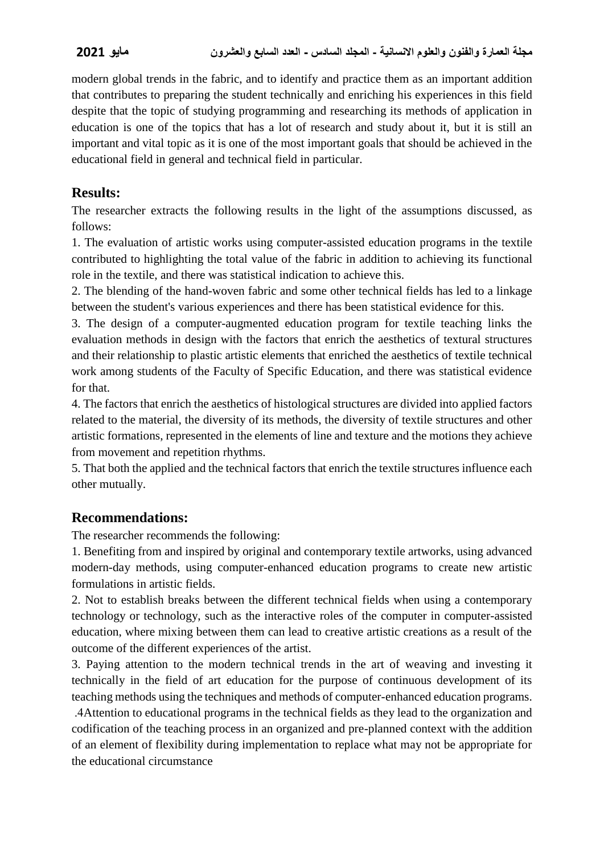modern global trends in the fabric, and to identify and practice them as an important addition that contributes to preparing the student technically and enriching his experiences in this field despite that the topic of studying programming and researching its methods of application in education is one of the topics that has a lot of research and study about it, but it is still an important and vital topic as it is one of the most important goals that should be achieved in the educational field in general and technical field in particular.

### **Results:**

The researcher extracts the following results in the light of the assumptions discussed, as follows:

1. The evaluation of artistic works using computer-assisted education programs in the textile contributed to highlighting the total value of the fabric in addition to achieving its functional role in the textile, and there was statistical indication to achieve this.

2. The blending of the hand-woven fabric and some other technical fields has led to a linkage between the student's various experiences and there has been statistical evidence for this.

3. The design of a computer-augmented education program for textile teaching links the evaluation methods in design with the factors that enrich the aesthetics of textural structures and their relationship to plastic artistic elements that enriched the aesthetics of textile technical work among students of the Faculty of Specific Education, and there was statistical evidence for that.

4. The factors that enrich the aesthetics of histological structures are divided into applied factors related to the material, the diversity of its methods, the diversity of textile structures and other artistic formations, represented in the elements of line and texture and the motions they achieve from movement and repetition rhythms.

5. That both the applied and the technical factors that enrich the textile structures influence each other mutually.

### **Recommendations:**

The researcher recommends the following:

1. Benefiting from and inspired by original and contemporary textile artworks, using advanced modern-day methods, using computer-enhanced education programs to create new artistic formulations in artistic fields.

2. Not to establish breaks between the different technical fields when using a contemporary technology or technology, such as the interactive roles of the computer in computer-assisted education, where mixing between them can lead to creative artistic creations as a result of the outcome of the different experiences of the artist.

3. Paying attention to the modern technical trends in the art of weaving and investing it technically in the field of art education for the purpose of continuous development of its teaching methods using the techniques and methods of computer-enhanced education programs.

 .4Attention to educational programs in the technical fields as they lead to the organization and codification of the teaching process in an organized and pre-planned context with the addition of an element of flexibility during implementation to replace what may not be appropriate for the educational circumstance